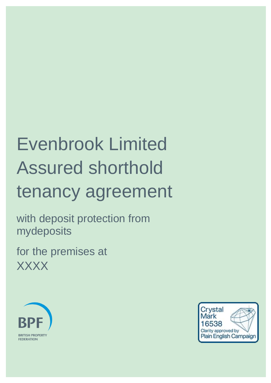# Evenbrook Limited Assured shorthold tenancy agreement

with deposit protection from mydeposits

for the premises at **XXXX** 



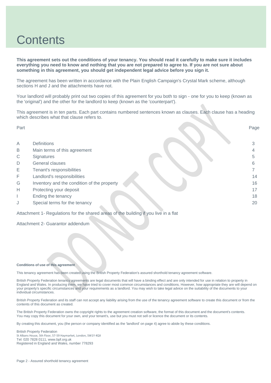### **Contents**

**This agreement sets out the conditions of your tenancy. You should read it carefully to make sure it includes everything you need to know and nothing that you are not prepared to agree to. If you are not sure about something in this agreement, you should get independent legal advice before you sign it.**

The agreement has been written in accordance with the Plain English Campaign's Crystal Mark scheme, although sections H and J and the attachments have not.

Your landlord will probably print out two copies of this agreement for you both to sign - one for you to keep (known as the 'original') and the other for the landlord to keep (known as the 'counterpart').

This agreement is in ten parts. Each part contains numbered sentences known as clauses. Each clause has a heading which describes what that clause refers to.

| Part |                                                                                      | Page |
|------|--------------------------------------------------------------------------------------|------|
|      |                                                                                      |      |
| A    | <b>Definitions</b>                                                                   |      |
| B    | Main terms of this agreement                                                         |      |
| C    | Signatures                                                                           | 5    |
| D    | General clauses                                                                      | 6    |
| Е    | Tenant's responsibilities                                                            |      |
| F    | Landlord's responsibilities                                                          | 14   |
| G    | Inventory and the condition of the property                                          | 16   |
| Н    | Protecting your deposit                                                              | 17   |
|      | Ending the tenancy                                                                   | 18   |
| J    | Special terms for the tenancy                                                        | 20   |
|      | Attachment 1- Regulations for the shared areas of the building if you live in a flat |      |

Attachment 2- Guarantor addendum

#### **Conditions of use of this agreement**

This tenancy agreement has been created using the British Property Federation's assured shorthold tenancy agreement software.

British Property Federation tenancy agreements are legal documents that will have a binding effect and are only intended for use in relation to property in England and Wales. In producing them, we have tried to cover most common circumstances and conditions. However, how appropriate they are will depend on your property's specific circumstances and your requirements as a landlord. You may wish to take legal advice on the suitability of the documents to your individual circumstances.

British Property Federation and its staff can not accept any liability arising from the use of the tenancy agreement software to create this document or from the contents of this document as created.

The British Property Federation owns the copyright rights to the agreement creation software, the format of this document and the document's contents. You may copy this document for your own, and your tenant's, use but you must not sell or licence the document or its contents.

By creating this document, you (the person or company identified as the 'landlord' on page 4) agree to abide by these conditions.

British Property Federation St Albans House, 5th Floor, 57-59 Haymarket, London, SW1Y 4QX Tel: 020 7828 0111, www.bpf.org.uk Registered in England and Wales, number 778293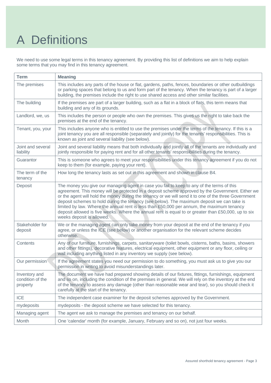# A Definitions

We need to use some legal terms in this tenancy agreement. By providing this list of definitions we aim to help explain some terms that you may find in this tenancy agreement.

| <b>Term</b>                                   | <b>Meaning</b>                                                                                                                                                                                                                                                                                                                                                                                                                                                                                                                                                                                                                          |
|-----------------------------------------------|-----------------------------------------------------------------------------------------------------------------------------------------------------------------------------------------------------------------------------------------------------------------------------------------------------------------------------------------------------------------------------------------------------------------------------------------------------------------------------------------------------------------------------------------------------------------------------------------------------------------------------------------|
| The premises                                  | This includes any parts of the house or flat, gardens, paths, fences, boundaries or other outbuildings<br>or parking spaces that belong to us and form part of the tenancy. When the tenancy is part of a larger<br>building, the premises include the right to use shared access and other similar facilities.                                                                                                                                                                                                                                                                                                                         |
| The building                                  | If the premises are part of a larger building, such as a flat in a block of flats, this term means that<br>building and any of its grounds.                                                                                                                                                                                                                                                                                                                                                                                                                                                                                             |
| Landlord, we, us                              | This includes the person or people who own the premises. This gives us the right to take back the<br>premises at the end of the tenancy.                                                                                                                                                                                                                                                                                                                                                                                                                                                                                                |
| Tenant, you, your                             | This includes anyone who is entitled to use the premises under the terms of the tenancy. If this is a<br>joint tenancy you are all responsible (separately and jointly) for the tenants' responsibilities. This is<br>known as joint and several liability (see below).                                                                                                                                                                                                                                                                                                                                                                 |
| Joint and several<br>liability                | Joint and several liability means that both individually and jointly all of the tenants are individually and<br>jointly responsible for paying rent and for all other tenants' responsibilities during the tenancy.                                                                                                                                                                                                                                                                                                                                                                                                                     |
| Guarantor                                     | This is someone who agrees to meet your responsibilities under this tenancy agreement if you do not<br>keep to them (for example, paying your rent).                                                                                                                                                                                                                                                                                                                                                                                                                                                                                    |
| The term of the<br>tenancy                    | How long the tenancy lasts as set out in this agreement and shown in clause B4.                                                                                                                                                                                                                                                                                                                                                                                                                                                                                                                                                         |
| Deposit                                       | The money you give our managing agent in case you fail to keep to any of the terms of this<br>agreement. This money will be protected in a deposit scheme approved by the Government. Either we<br>or the agent will hold the money during the tenancy or we will send it to one of the three Government<br>deposit schemes to hold during the tenancy (see below). The maximum deposit we can take is<br>limited by law. Where the annual rent is less than £50,000 per annum, the maximum tenancy<br>deposit allowed is five weeks. Where the annual rent is equal to or greater than £50,000, up to six<br>weeks deposit is allowed. |
| Stakeholder for<br>deposit                    | We or the managing agent can only take money from your deposit at the end of the tenancy if you<br>agree, or unless the ICE (see below) or another organisation for the relevant scheme decides<br>otherwise.                                                                                                                                                                                                                                                                                                                                                                                                                           |
| Contents                                      | Any of our furniture, furnishings, carpets, sanitaryware (toilet bowls, cisterns, baths, basins, showers<br>and other fittings), decorative features, electrical equipment, other equipment or any floor, ceiling or<br>wall including anything listed in any inventory we supply (see below).                                                                                                                                                                                                                                                                                                                                          |
| Our permission                                | If the agreement states you need our permission to do something, you must ask us to give you our<br>permission in writing to avoid misunderstandings later.                                                                                                                                                                                                                                                                                                                                                                                                                                                                             |
| Inventory and<br>condition of the<br>property | The document we have had prepared showing details of our fixtures, fittings, furnishings, equipment<br>and so on, including the condition of the premises in general. We will rely on the inventory at the end<br>of the tenancy to assess any damage (other than reasonable wear and tear), so you should check it<br>carefully at the start of the tenancy.                                                                                                                                                                                                                                                                           |
| <b>ICE</b>                                    | The independent case examiner for the deposit schemes approved by the Government.                                                                                                                                                                                                                                                                                                                                                                                                                                                                                                                                                       |
| mydeposits                                    | mydeposits - the deposit scheme we have selected for this tenancy.                                                                                                                                                                                                                                                                                                                                                                                                                                                                                                                                                                      |
| Managing agent                                | The agent we ask to manage the premises and tenancy on our behalf.                                                                                                                                                                                                                                                                                                                                                                                                                                                                                                                                                                      |
| Month                                         | One 'calendar' month (for example, January, February and so on), not just four weeks.                                                                                                                                                                                                                                                                                                                                                                                                                                                                                                                                                   |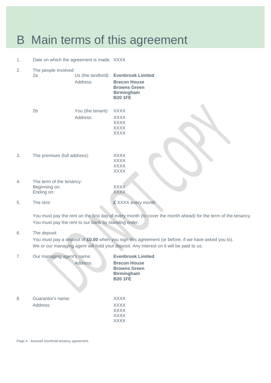### B Main terms of this agreement

1. Date on which the agreement is made: XXXX

| 2. | The people involved:         |                   |                                                                                   |
|----|------------------------------|-------------------|-----------------------------------------------------------------------------------|
|    | 2a                           |                   | Us (the landlord): Evenbrook Limited                                              |
|    |                              | Address:          | <b>Brecon House</b><br><b>Browns Green</b><br><b>Birmingham</b><br><b>B20 1FE</b> |
|    | 2 <sub>b</sub>               | You (the tenant): | <b>XXXX</b>                                                                       |
|    |                              | Address:          | <b>XXXX</b>                                                                       |
|    |                              |                   | <b>XXXX</b>                                                                       |
|    |                              |                   | <b>XXXX</b>                                                                       |
|    |                              |                   | <b>XXXX</b>                                                                       |
|    |                              |                   |                                                                                   |
| 3. | The premises (full address): |                   | <b>XXXX</b>                                                                       |
|    |                              |                   | <b>XXXX</b>                                                                       |
|    |                              |                   | <b>XXXX</b>                                                                       |
|    |                              |                   | <b>XXXX</b>                                                                       |
| 4. | The term of the tenancy:     |                   |                                                                                   |
|    | Beginning on:                |                   | <b>XXXX</b>                                                                       |
|    | Ending on:                   |                   | <b>XXXX</b>                                                                       |
| 5. | The rent:                    |                   | £ XXXX every month                                                                |

You must pay the rent on the first day of every month (to cover the month ahead) for the term of the tenancy. You must pay the rent to our bank by standing order.

### 6. The deposit

You must pay a deposit of **£0.00** when you sign this agreement (or before, if we have asked you to). We or our managing agent will hold your deposit. Any interest on it will be paid to us.

| 7. | Our managing agent's name:<br>Address: | <b>Evenbrook Limited</b><br><b>Brecon House</b><br><b>Browns Green</b><br><b>Birmingham</b><br><b>B201FE</b> |
|----|----------------------------------------|--------------------------------------------------------------------------------------------------------------|
| 8. | Guarantor's name:                      | <b>XXXX</b>                                                                                                  |
|    | Address:                               | <b>XXXX</b>                                                                                                  |
|    |                                        | <b>XXXX</b>                                                                                                  |
|    |                                        | <b>XXXX</b>                                                                                                  |
|    |                                        | XXXX                                                                                                         |

Page 4 - Assured shorthold tenancy agreement.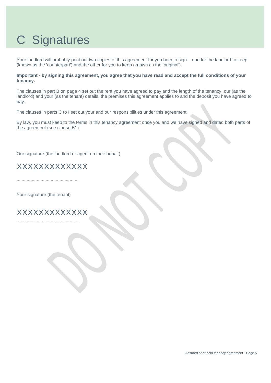# C Signatures

Your landlord will probably print out two copies of this agreement for you both to sign – one for the landlord to keep (known as the 'counterpart') and the other for you to keep (known as the 'original').

**Important - by signing this agreement, you agree that you have read and accept the full conditions of your tenancy.**

The clauses in part B on page 4 set out the rent you have agreed to pay and the length of the tenancy, our (as the landlord) and your (as the tenant) details, the premises this agreement applies to and the deposit you have agreed to pay.

The clauses in parts C to I set out your and our responsibilities under this agreement.

By law, you must keep to the terms in this tenancy agreement once you and we have signed and dated both parts of the agreement (see clause B1).

Our signature (the landlord or agent on their behalf)

XXXXXXXXXXXXX

.................................................

Your signature (the tenant)

XXXXXXXXXXXXX .................................................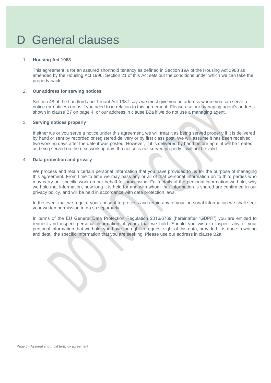### D General clauses

#### 1. **Housing Act 1988**

This agreement is for an assured shorthold tenancy as defined in Section 19A of the Housing Act 1988 as amended by the Housing Act 1996. Section 21 of this Act sets out the conditions under which we can take the property back.

#### 2. **Our address for serving notices**

Section 48 of the Landlord and Tenant Act 1987 says we must give you an address where you can serve a notice (or notices) on us if you need to in relation to this agreement. Please use our managing agent's address shown in clause B7 on page 4, or our address in clause B2a if we do not use a managing agent.

#### 3. **Serving notices properly**

If either we or you serve a notice under this agreement, we will treat it as being served properly if it is delivered by hand or sent by recorded or registered delivery or by first class post. We will assume it has been received two working days after the date it was posted. However, if it is delivered by hand before 5pm, it will be treated as being served on the next working day. If a notice is not served properly it will not be valid.

#### 4. **Data protection and privacy**

We process and retain certain personal information that you have provided to us for the purpose of managing this agreement. From time to time we may pass any or all of that personal information on to third parties who may carry out specific work on our behalf for processing. Full details of the personal information we hold, why we hold that information, how long it is held for and with whom that information is shared are confirmed in our privacy policy, and will be held in accordance with data protection laws.

In the event that we require your consent to process and retain any of your personal information we shall seek your written permission to do so separately.

In terms of the EU General Data Protection Regulation 2016/6769 (hereinafter "GDPR") you are entitled to request and inspect personal information of yours that we hold. Should you wish to inspect any of your personal information that we hold, you have the right to request sight of this data, provided it is done in writing and detail the specific information that you are seeking. Please use our address in clause B2a.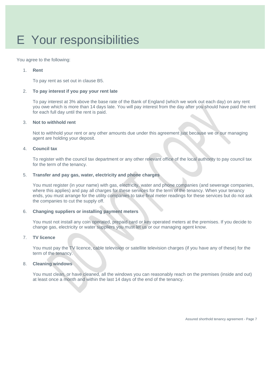# E Your responsibilities

You agree to the following:

#### 1. **Rent**

To pay rent as set out in clause B5.

#### 2. **To pay interest if you pay your rent late**

To pay interest at 3% above the base rate of the Bank of England (which we work out each day) on any rent you owe which is more than 14 days late. You will pay interest from the day after you should have paid the rent for each full day until the rent is paid.

#### 3. **Not to withhold rent**

Not to withhold your rent or any other amounts due under this agreement just because we or our managing agent are holding your deposit.

#### 4. **Council tax**

To register with the council tax department or any other relevant office of the local authority to pay council tax for the term of the tenancy.

#### 5. **Transfer and pay gas, water, electricity and phone charges**

You must register (in your name) with gas, electricity, water and phone companies (and sewerage companies, where this applies) and pay all charges for these services for the term of the tenancy. When your tenancy ends, you must arrange for the utility companies to take final meter readings for these services but do not ask the companies to cut the supply off.

#### 6. **Changing suppliers or installing payment meters**

You must not install any coin operated, prepaid card or key operated meters at the premises. If you decide to change gas, electricity or water suppliers you must let us or our managing agent know.

#### 7. **TV licence**

You must pay the TV licence, cable television or satellite television charges (if you have any of these) for the term of the tenancy.

#### 8. **Cleaning windows**

You must clean, or have cleaned, all the windows you can reasonably reach on the premises (inside and out) at least once a month and within the last 14 days of the end of the tenancy.

Assured shorthold tenancy agreement - Page 7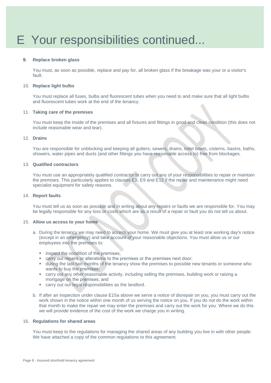#### 9. **Replace broken glass**

You must, as soon as possible, replace and pay for, all broken glass if the breakage was your or a visitor's fault.

#### 10. **Replace light bulbs**

You must replace all fuses, bulbs and fluorescent tubes when you need to and make sure that all light bulbs and fluorescent tubes work at the end of the tenancy.

#### 11. **Taking care of the premises**

You must keep the inside of the premises and all fixtures and fittings in good and clean condition (this does not include reasonable wear and tear).

#### 12. **Drains**

You are responsible for unblocking and keeping all gutters, sewers, drains, toilet bowls, cisterns, basins, baths, showers, water pipes and ducts (and other fittings you have reasonable access to) free from blockages.

#### 13. **Qualified contractors**

You must use an appropriately qualified contractor to carry out any of your responsibilities to repair or maintain the premises. This particularly applies to clauses E8, E9 and E12 if the repair and maintenance might need specialist equipment for safety reasons.

#### 14. **Report faults**

You must tell us as soon as possible and in writing about any repairs or faults we are responsible for. You may be legally responsible for any loss or costs which are as a result of a repair or fault you do not tell us about.

#### 15. **Allow us access to your home**

- a. During the tenancy we may need to access your home. We must give you at least one working day's notice (except in an emergency) and take account of your reasonable objections. You must allow us or our employees into the premises to:
	- **■** inspect the condition of the premises:
	- carry out repairs or alterations to the premises or the premises next door;
	- **.** during the last two months of the tenancy show the premises to possible new tenants or someone who wants to buy the premises;
	- carry out any other reasonable activity, including selling the premises, building work or raising a mortgage on the premises; and
	- carry out our legal responsibilities as the landlord.
- b. If after an inspection under clause E15a above we serve a notice of disrepair on you, you must carry out the work shown in the notice within one month of us serving the notice on you. If you do not do the work within that month to make the repair we may enter the premises and carry out the work for you. Where we do this we will provide evidence of the cost of the work we charge you in writing.

#### 16. **Regulations for shared areas**

You must keep to the regulations for managing the shared areas of any building you live in with other people. We have attached a copy of the common regulations to this agreement.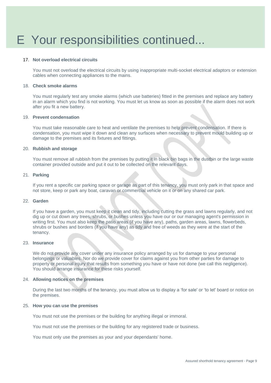#### 17. **Not overload electrical circuits**

You must not overload the electrical circuits by using inappropriate multi-socket electrical adaptors or extension cables when connecting appliances to the mains.

#### 18. **Check smoke alarms**

You must regularly test any smoke alarms (which use batteries) fitted in the premises and replace any battery in an alarm which you find is not working. You must let us know as soon as possible if the alarm does not work after you fit a new battery.

#### 19. **Prevent condensation**

You must take reasonable care to heat and ventilate the premises to help prevent condensation. If there is condensation, you must wipe it down and clean any surfaces when necessary to prevent mould building up or damage to the premises and its fixtures and fittings.

#### 20. **Rubbish and storage**

You must remove all rubbish from the premises by putting it in black bin bags in the dustbin or the large waste container provided outside and put it out to be collected on the relevant days.

#### 21. **Parking**

If you rent a specific car parking space or garage as part of this tenancy, you must only park in that space and not store, keep or park any boat, caravan or commercial vehicle on it or on any shared car park.

#### 22. **Garden**

If you have a garden, you must keep it clean and tidy, including cutting the grass and lawns regularly, and not dig up or cut down any trees, shrubs, or bushes unless you have our or our managing agent's permission in writing first. You must also keep the patio areas (if you have any), paths, garden areas, lawns, flowerbeds, shrubs or bushes and borders (if you have any) as tidy and free of weeds as they were at the start of the tenancy.

#### 23. **Insurance**

We do not provide any cover under any insurance policy arranged by us for damage to your personal belongings or valuables. Nor do we provide cover for claims against you from other parties for damage to property or personal injury that results from something you have or have not done (we call this negligence). You should arrange insurance for these risks yourself.

#### 24. **Allowing notices on the premises**

During the last two months of the tenancy, you must allow us to display a 'for sale' or 'to let' board or notice on the premises.

#### 25. **How you can use the premises**

You must not use the premises or the building for anything illegal or immoral.

You must not use the premises or the building for any registered trade or business.

You must only use the premises as your and your dependants' home.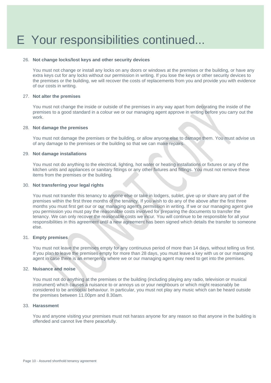#### 26. **Not change locks/lost keys and other security devices**

You must not change or install any locks on any doors or windows at the premises or the building, or have any extra keys cut for any locks without our permission in writing. If you lose the keys or other security devices to the premises or the building, we will recover the costs of replacements from you and provide you with evidence of our costs in writing.

#### 27. **Not alter the premises**

You must not change the inside or outside of the premises in any way apart from decorating the inside of the premises to a good standard in a colour we or our managing agent approve in writing before you carry out the work.

#### 28. **Not damage the premises**

You must not damage the premises or the building, or allow anyone else to damage them. You must advise us of any damage to the premises or the building so that we can make repairs.

#### 29. **Not damage installations**

You must not do anything to the electrical, lighting, hot water or heating installations or fixtures or any of the kitchen units and appliances or sanitary fittings or any other fixtures and fittings. You must not remove these items from the premises or the building.

### 30. **Not transferring your legal rights**

You must not transfer this tenancy to anyone else or take in lodgers, sublet, give up or share any part of the premises within the first three months of the tenancy. If you wish to do any of the above after the first three months you must first get our or our managing agent's permission in writing. If we or our managing agent give you permission you must pay the reasonable costs involved for preparing the documents to transfer the tenancy. We can only recover the reasonable costs we incur*.* You will continue to be responsible for all your responsibilities in this agreement until a new agreement has been signed which details the transfer to someone else.

#### 31. **Empty premises**

You must not leave the premises empty for any continuous period of more than 14 days, without telling us first. If you plan to leave the premises empty for more than 28 days, you must leave a key with us or our managing agent in case there is an emergency where we or our managing agent may need to get into the premises.

#### 32. **Nuisance and noise**

You must not do anything at the premises or the building (including playing any radio, television or musical instrument) which causes a nuisance to or annoys us or your neighbours or which might reasonably be considered to be antisocial behaviour. In particular, you must not play any music which can be heard outside the premises between 11.00pm and 8.30am.

#### 33. **Harassment**

You and anyone visiting your premises must not harass anyone for any reason so that anyone in the building is offended and cannot live there peacefully.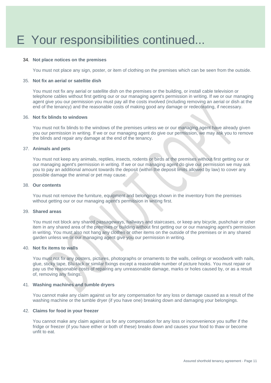#### 34. **Not place notices on the premises**

You must not place any sign, poster, or item of clothing on the premises which can be seen from the outside.

#### 35. **Not fix an aerial or satellite dish**

You must not fix any aerial or satellite dish on the premises or the building, or install cable television or telephone cables without first getting our or our managing agent's permission in writing. If we or our managing agent give you our permission you must pay all the costs involved (including removing an aerial or dish at the end of the tenancy) and the reasonable costs of making good any damage or redecorating, if necessary.

#### 36. **Not fix blinds to windows**

You must not fix blinds to the windows of the premises unless we or our managing agent have already given you our permission in writing. If we or our managing agent do give our permission, we may ask you to remove the blinds and repair any damage at the end of the tenancy.

#### 37. **Animals and pets**

You must not keep any animals, reptiles, insects, rodents or birds at the premises without first getting our or our managing agent's permission in writing. If we or our managing agent do give our permission we may ask you to pay an additional amount towards the deposit (within the deposit limits allowed by law) to cover any possible damage the animal or pet may cause.

#### 38. **Our contents**

You must not remove the furniture, equipment and belongings shown in the inventory from the premises without getting our or our managing agent's permission in writing first.

#### 39. **Shared areas**

You must not block any shared passageways, hallways and staircases, or keep any bicycle, pushchair or other item in any shared area of the premises or building without first getting our or our managing agent's permission in writing. You must also not hang any clothes or other items on the outside of the premises or in any shared garden unless we or our managing agent give you our permission in writing.

#### 40. **Not fix items to walls**

You must not fix any posters, pictures, photographs or ornaments to the walls, ceilings or woodwork with nails, glue, sticky tape, Blu-tack or similar fixings except a reasonable number of picture hooks. You must repair or pay us the reasonable costs of repairing any unreasonable damage, marks or holes caused by, or as a result of, removing any fixings.

#### 41. **Washing machines and tumble dryers**

You cannot make any claim against us for any compensation for any loss or damage caused as a result of the washing machine or the tumble dryer (if you have one) breaking down and damaging your belongings.

#### 42. **Claims for food in your freezer**

You cannot make any claim against us for any compensation for any loss or inconvenience you suffer if the fridge or freezer (if you have either or both of these) breaks down and causes your food to thaw or become unfit to eat.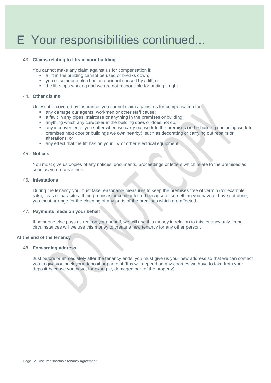#### 43. **Claims relating to lifts in your building**

You cannot make any claim against us for compensation if:

- a lift in the building cannot be used or breaks down;
- you or someone else has an accident caused by a lift; or
- the lift stops working and we are not responsible for putting it right.

#### 44. **Other claims**

Unless it is covered by insurance, you cannot claim against us for compensation for:

- any damage our agents, workmen or other staff cause;
- **EXECUTE:** a fault in any pipes, staircase or anything in the premises or building;
- anything which any caretaker in the building does or does not do:
- any inconvenience you suffer when we carry out work to the premises or the building (including work to premises next door or buildings we own nearby), such as decorating or carrying out repairs or alterations; or
- any effect that the lift has on your TV or other electrical equipment.

#### 45. **Notices**

You must give us copies of any notices, documents, proceedings or letters which relate to the premises as soon as you receive them.

#### 46**. Infestations**

During the tenancy you must take reasonable measures to keep the premises free of vermin (for example, rats), fleas or parasites. If the premises become infested because of something you have or have not done, you must arrange for the cleaning of any parts of the premises which are affected.

#### 47. **Payments made on your behalf**

If someone else pays us rent on your behalf, we will use this money in relation to this tenancy only. In no circumstances will we use this money to create a new tenancy for any other person.

#### **At the end of the tenancy**

#### 48. **Forwarding address**

Just before or immediately after the tenancy ends, you must give us your new address so that we can contact you to give you back your deposit or part of it (this will depend on any charges we have to take from your deposit because you have, for example, damaged part of the property).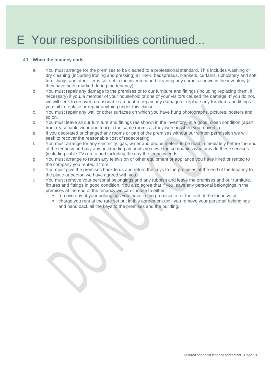#### 49. **When the tenancy ends**

- a. You must arrange for the premises to be cleaned to a professional standard. This includes washing or dry cleaning (including ironing and pressing) all linen, bedspreads, blankets, curtains, upholstery and soft furnishings and other items set out in the inventory and cleaning any carpets shown in the inventory (if they have been marked during the tenancy).
- b. You must repair any damage to the premises or to our furniture and fittings (including replacing them, if necessary) if you, a member of your household or one of your visitors caused the damage. If you do not, we will seek to recover a reasonable amount to repair any damage or replace any furniture and fittings if you fail to replace or repair anything under this clause.
- c. You must repair any wall or other surfaces on which you have hung photographs, pictures, posters and so on.
- d. You must leave all our furniture and fittings (as shown in the inventory) in a good, clean condition (apart from reasonable wear and tear) in the same rooms as they were in when you moved in.
- e. If you decorated or changed any rooms or part of the premises without our written permission we will seek to recover the reasonable cost of redecorating.
- f. You must arrange for any electricity, gas, water and phone meters to be read immediately before the end of the tenancy and pay any outstanding amounts you owe the companies who provide these services (including cable TV) up to and including the day the tenancy ends.
- g. You must arrange to return any television or other equipment or appliance you have hired or rented to the company you rented it from.
- h. You must give the premises back to us and return the keys to the premises at the end of the tenancy to the place or person we have agreed with you.
- i. You must remove your personal belongings and any rubbish and leave the premises and our furniture, fixtures and fittings in good condition. You also agree that if you leave any personal belongings in the premises at the end of the tenancy we can choose to either:
	- remove any of your belongings you leave in the premises after the end of the tenancy; or
	- charge you rent at the rate set out in this agreement until you remove your personal belongings and hand back all the keys to the premises and the building.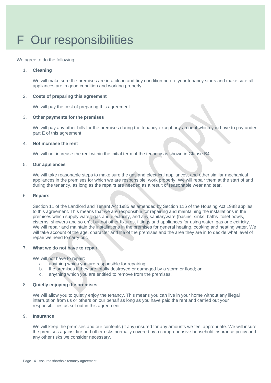# F Our responsibilities

We agree to do the following:

#### 1. **Cleaning**

We will make sure the premises are in a clean and tidy condition before your tenancy starts and make sure all appliances are in good condition and working properly.

#### 2. **Costs of preparing this agreement**

We will pay the cost of preparing this agreement.

#### 3. **Other payments for the premises**

We will pay any other bills for the premises during the tenancy except any amount which you have to pay under part E of this agreement.

#### 4. **Not increase the rent**

We will not increase the rent within the initial term of the tenancy as shown in Clause B4.

#### 5. **Our appliances**

We will take reasonable steps to make sure the gas and electrical appliances, and other similar mechanical appliances in the premises for which we are responsible, work properly. We will repair them at the start of and during the tenancy, as long as the repairs are needed as a result of reasonable wear and tear.

#### 6. **Repairs**

Section 11 of the Landlord and Tenant Act 1985 as amended by Section 116 of the Housing Act 1988 applies to this agreement. This means that we are responsible for repairing and maintaining the installations in the premises which supply water, gas and electricity, and any sanitaryware (basins, sinks, baths ,toilet bowls, cisterns, showers and so on), but not other fixtures, fittings and appliances for using water, gas or electricity. We will repair and maintain the installations in the premises for general heating, cooking and heating water. We will take account of the age, character and life of the premises and the area they are in to decide what level of repair we need to carry out.

#### 7. **What we do not have to repair**

We will not have to repair:

- a. anything which you are responsible for repairing;
- b. the premises if they are totally destroyed or damaged by a storm or flood; or
- c. anything which you are entitled to remove from the premises.

#### 8. **Quietly enjoying the premises**

We will allow you to quietly enjoy the tenancy. This means you can live in your home without any illegal interruption from us or others on our behalf as long as you have paid the rent and carried out your responsibilities as set out in this agreement.

#### 9. **Insurance**

We will keep the premises and our contents (if any) insured for any amounts we feel appropriate. We will insure the premises against fire and other risks normally covered by a comprehensive household insurance policy and any other risks we consider necessary.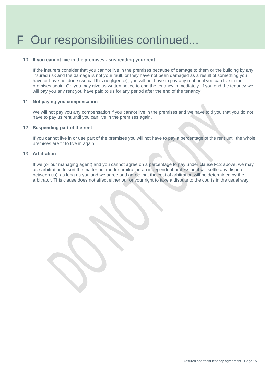#### 10. **If you cannot live in the premises - suspending your rent**

If the insurers consider that you cannot live in the premises because of damage to them or the building by any insured risk and the damage is not your fault, or they have not been damaged as a result of something you have or have not done (we call this negligence), you will not have to pay any rent until you can live in the premises again. Or, you may give us written notice to end the tenancy immediately. If you end the tenancy we will pay you any rent you have paid to us for any period after the end of the tenancy.

#### 11. **Not paying you compensation**

We will not pay you any compensation if you cannot live in the premises and we have told you that you do not have to pay us rent until you can live in the premises again.

#### 12. **Suspending part of the rent**

If you cannot live in or use part of the premises you will not have to pay a percentage of the rent until the whole premises are fit to live in again.

#### 13. **Arbitration**

If we (or our managing agent) and you cannot agree on a percentage to pay under clause F12 above, we may use arbitration to sort the matter out (under arbitration an independent professional will settle any dispute between us), as long as you and we agree and agree that the cost of arbitration will be determined by the arbitrator. This clause does not affect either our or your right to take a dispute to the courts in the usual way.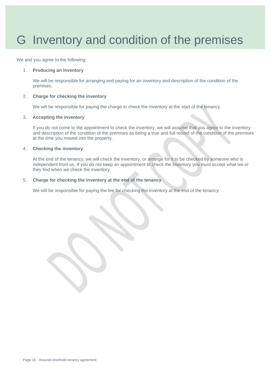### G Inventory and condition of the premises

We and you agree to the following:

#### 1. **Producing an inventory**

We will be responsible for arranging and paying for an inventory and description of the condition of the premises.

#### 2. **Charge for checking the inventory**

We will be responsible for paying the charge to check the inventory at the start of the tenancy.

#### 3. **Accepting the inventory**

If you do not come to the appointment to check the inventory, we will assume that you agree to the inventory and description of the condition of the premises as being a true and full record of the condition of the premises at the time you moved into the property.

#### 4. **Checking the inventory**

At the end of the tenancy, we will check the inventory, or arrange for it to be checked by someone who is independent from us. If you do not keep an appointment to check the inventory you must accept what we or they find when we check the inventory.

#### 5. **Charge for checking the inventory at the end of the tenancy**

We will be responsible for paying the fee for checking the inventory at the end of the tenancy.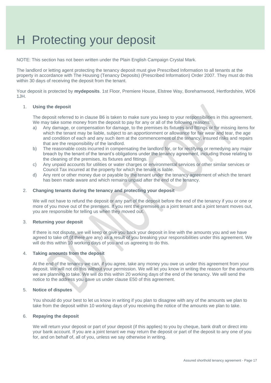### H Protecting your deposit

NOTE: This section has not been written under the Plain English Campaign Crystal Mark.

The landlord or letting agent protecting the tenancy deposit must give Prescribed Information to all tenants at the property in accordance with The Housing (Tenancy Deposits) (Prescribed Information) Order 2007. They must do this within 30 days of receiving the deposit from the tenant.

Your deposit is protected by **mydeposits**. 1st Floor, Premiere House, Elstree Way, Borehamwood, Hertfordshire, WD6 1JH.

#### 1. **Using the deposit**

The deposit referred to in clause B6 is taken to make sure you keep to your responsibilities in this agreement. We may take some money from the deposit to pay for any or all of the following reasons:

- a) Any damage, or compensation for damage, to the premises its fixtures and fittings or for missing items for which the tenant may be liable, subject to an apportionment or allowance for fair wear and tear, the age and condition of each and any such item at the commencement of the tenancy, insured risks and repairs that are the responsibility of the landlord.
- b) The reasonable costs incurred in compensating the landlord for, or for rectifying or remedying any major breach by the tenant of the tenant's obligations under the tenancy agreement, including those relating to the cleaning of the premises, its fixtures and fittings.
- c) Any unpaid accounts for utilities or water charges or environmental services or other similar services or Council Tax incurred at the property for which the tenant is liable.
- d) Any rent or other money due or payable by the tenant under the tenancy agreement of which the tenant has been made aware and which remains unpaid after the end of the tenancy.

#### 2. **Changing tenants during the tenancy and protecting your deposit**

We will not have to refund the deposit or any part of the deposit before the end of the tenancy if you or one or more of you move out of the premises. If you rent the premises as a joint tenant and a joint tenant moves out, you are responsible for telling us when they moved out.

#### 3. **Returning your deposit**

If there is not dispute, we will keep or give you back your deposit in line with the amounts you and we have agreed to take off (if there are any) as a result of you breaking your responsibilities under this agreement. We will do this within 10 working days of you and us agreeing to do this.

#### 4. **Taking amounts from the deposit**

At the end of the tenancy we can, if you agree, take any money you owe us under this agreement from your deposit. We will not do this without your permission. We will let you know in writing the reason for the amounts we are planning to take. We will do this within 20 working days of the end of the tenancy. We will send the notice to the address you gave us under clause E50 of this agreement.

#### 5. **Notice of disputes**

You should do your best to let us know in writing if you plan to disagree with any of the amounts we plan to take from the deposit within 10 working days of you receiving the notice of the amounts we plan to take.

#### 6. **Repaying the deposit**

We will return your deposit or part of your deposit (if this applies) to you by cheque, bank draft or direct into your bank account. If you are a joint tenant we may return the deposit or part of the deposit to any one of you for, and on behalf of, all of you, unless we say otherwise in writing.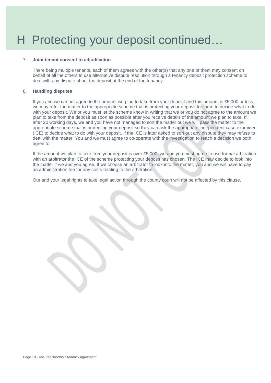### H Protecting your deposit continued…

#### 7. **Joint tenant consent to adjudication**

There being multiple tenants, each of them agrees with the other(s) that any one of them may consent on behalf of all the others to use alternative dispute resolution through a tenancy deposit protection scheme to deal with any dispute about the deposit at the end of the tenancy.

#### 8. **Handling disputes**

If you and we cannot agree to the amount we plan to take from your deposit and this amount is £5,000 or less, we may refer the matter to the appropriate scheme that is protecting your deposit for them to decide what to do with your deposit. We or you must let the scheme know in writing that we or you do not agree to the amount we plan to take from the deposit as soon as possible after you receive details of the amount we plan to take. If, after 20 working days, we and you have not managed to sort the matter out we will pass the matter to the appropriate scheme that is protecting your deposit so they can ask the appropriate independent case examiner (ICE) to decide what to do with your deposit. If the ICE is later asked to sort out any dispute they may refuse to deal with the matter. You and we must agree to co-operate with the investigation to reach a decision we both agree to.

If the amount we plan to take from your deposit is over £5,000, we and you must agree to use formal arbitration with an arbitrator the ICE of the scheme protecting your deposit has chosen. The ICE may decide to look into the matter if we and you agree. If we choose an arbitrator to look into the matter, you and we will have to pay an administration fee for any costs relating to the arbitration.

Our and your legal rights to take legal action through the county court will not be affected by this clause.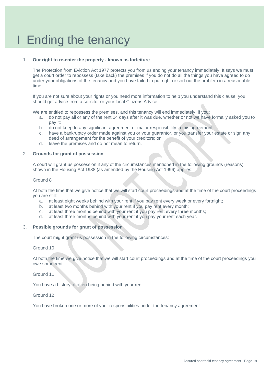### I Ending the tenancy

#### 1. **Our right to re-enter the property - known as forfeiture**

The Protection from Eviction Act 1977 protects you from us ending your tenancy immediately. It says we must get a court order to repossess (take back) the premises if you do not do all the things you have agreed to do under your obligations of the tenancy and you have failed to put right or sort out the problem in a reasonable time.

If you are not sure about your rights or you need more information to help you understand this clause, you should get advice from a solicitor or your local Citizens Advice.

We are entitled to repossess the premises, and this tenancy will end immediately, if you:

- a. do not pay all or any of the rent 14 days after it was due, whether or not we have formally asked you to pay it;
- b. do not keep to any significant agreement or major responsibility in this agreement;
- c. have a bankruptcy order made against you or your guarantor, or you transfer your estate or sign any deed of arrangement for the benefit of your creditors; or
- d. leave the premises and do not mean to return.

#### 2. **Grounds for grant of possession**

A court will grant us possession if any of the circumstances mentioned in the following grounds (reasons) shown in the Housing Act 1988 (as amended by the Housing Act 1996) applies:

#### Ground 8

At both the time that we give notice that we will start court proceedings and at the time of the court proceedings you are still:

- a. at least eight weeks behind with your rent if you pay rent every week or every fortnight;
- b. at least two months behind with your rent if you pay rent every month;
- c. at least three months behind with your rent if you pay rent every three months;<br>d. at least three months behind with your rent if you hav your rent each year
- at least three months behind with your rent if you pay your rent each year.

#### 3. **Possible grounds for grant of possession**

The court might grant us possession in the following circumstances:

Ground 10

At both the time we give notice that we will start court proceedings and at the time of the court proceedings you owe some rent.

Ground 11

You have a history of often being behind with your rent.

Ground 12

You have broken one or more of your responsibilities under the tenancy agreement.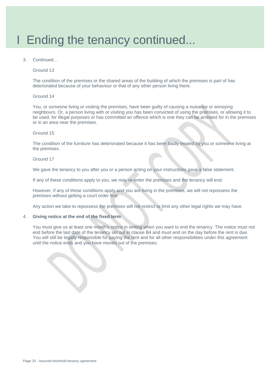### I Ending the tenancy continued...

3. Continued...

Ground 13

The condition of the premises or the shared areas of the building of which the premises is part of has deteriorated because of your behaviour or that of any other person living there.

#### Ground 14

You, or someone living or visiting the premises, have been guilty of causing a nuisance or annoying neighbours. Or, a person living with or visiting you has been convicted of using the premises, or allowing it to be used, for illegal purposes or has committed an offence which is one they can be arrested for in the premises or in an area near the premises.

#### Ground 15

The condition of the furniture has deteriorated because it has been badly treated by you or someone living at the premises.

#### Ground 17

We gave the tenancy to you after you or a person acting on your instructions gave a false statement.

If any of these conditions apply to you, we may re-enter the premises and the tenancy will end.

However, if any of these conditions apply and you are living in the premises, we will not repossess the premises without getting a court order first.

Any action we take to repossess the premises will not restrict or limit any other legal rights we may have.

#### 4. **Giving notice at the end of the fixed term**

You must give us at least one month's notice in writing when you want to end the tenancy. The notice must not end before the last date of the tenancy set out in clause B4 and must end on the day before the rent is due. You will still be legally responsible for paying the rent and for all other responsibilities under this agreement until the notice ends and you have moved out of the premises.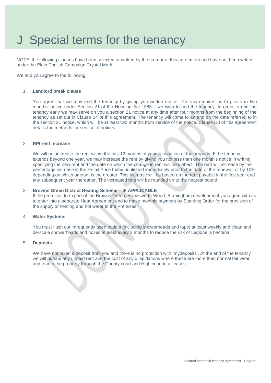### J Special terms for the tenancy

NOTE: the following clauses have been selected or written by the creator of this agreement and have not been written under the Plain English Campaign Crystal Mark.

We and you agree to the following:

#### 1. **Landlord break clause**

You agree that we may end the tenancy by giving you written notice. The law requires us to give you two months' notice under Section 21 of the Housing Act 1988 if we wish to end the tenancy. In order to end the tenancy early we may serve on you a section 21 notice at any time after four months from the beginning of the tenancy as set out in Clause B4 of this agreement. The tenancy will come to an end on the date referred to in the section 21 notice, which will be at least two months from service of the notice. Clause D3 of this agreement details the methods for service of notices.

#### 2. **RPI rent increase**

We will not increase the rent within the first 12 months of your occupation of the property. If the tenancy extends beyond one year, we may increase the rent by giving you not less than one month's notice in writing specifying the new rent and the date on which the change in rent will take effect. The rent will increase by the percentage increase in the Retail Price Index published immediately prior to the date of the renewal, or by 10% depending on which amount is the greater. This increase will be based on the rent payable in the first year and any subsequent year thereafter. The increased rent will be rounded up to the nearest pound.

#### 3. **Browns Green District Heating Scheme – IF APPLICABLE**

If the premises form part of the Browns Green, Handsworth Wood, Birmingham development you agree with us to enter into a separate Heat Agreement and to make monthly payment by Standing Order for the provision of the supply of heating and hot water to the Premises.

#### 4. **Water Systems**

You must flush out infrequently used outlets (including showerheads and taps) at least weekly and clean and de-scale showerheads and hoses at least every 3 months to reduce the risk of Legionella bacteria.

#### 5. **Deposits**

We have not taken a deposit from you and there is no protection with 'mydeposits'. At the end of the tenancy we will pursue any unpaid rent and the cost of any dilapidations where these are more than normal fair wear and tear in the property through the County court and High court in all cases.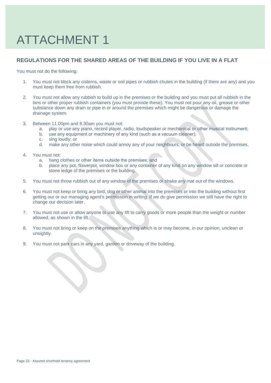# ATTACHMENT 1

### **REGULATIONS FOR THE SHARED AREAS OF THE BUILDING IF YOU LIVE IN A FLAT**

You must not do the following:

- 1. You must not block any cisterns, waste or soil pipes or rubbish chutes in the building (if there are any) and you must keep them free from rubbish.
- 2. You must not allow any rubbish to build up in the premises or the building and you must put all rubbish in the bins or other proper rubbish containers (you must provide these). You must not pour any oil, grease or other substance down any drain or pipe in or around the premises which might be dangerous or damage the drainage system.
- 3. Between 11.00pm and 8.30am you must not:
	- a. play or use any piano, record player, radio, loudspeaker or mechanical or other musical instrument;
	- b. use any equipment or machinery of any kind (such as a vacuum cleaner);
	- c. sing loudly; or
	- d. make any other noise which could annoy any of your neighbours, or be heard outside the premises.
- 4. You must not:
	- a. hang clothes or other items outside the premises; and
	- b. place any pot, flowerpot, window box or any container of any kind on any window sill or concrete or stone ledge of the premises or the building.
- 5. You must not throw rubbish out of any window of the premises or shake any mat out of the windows.
- 6. You must not keep or bring any bird, dog or other animal into the premises or into the building without first getting our or our managing agent's permission in writing. If we do give permission we still have the right to change our decision later.
- 7. You must not use or allow anyone to use any lift to carry goods or more people than the weight or number allowed, as shown in the lift.
- 8. You must not bring or keep on the premises anything which is or may become, in our opinion, unclean or unsightly.
- 9. You must not park cars in any yard, garden or driveway of the building.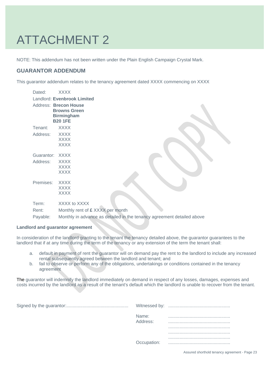# ATTACHMENT 2

NOTE: This addendum has not been written under the Plain English Campaign Crystal Mark.

### **GUARANTOR ADDENDUM**

This guarantor addendum relates to the tenancy agreement dated XXXX commencing on XXXX

| Dated:     | <b>XXXX</b>                                                                         |  |
|------------|-------------------------------------------------------------------------------------|--|
|            | Landlord: Evenbrook Limited                                                         |  |
|            | Address: Brecon House<br><b>Browns Green</b><br><b>Birmingham</b><br><b>B20 1FE</b> |  |
| Tenant:    | <b>XXXX</b>                                                                         |  |
| Address:   | <b>XXXX</b><br><b>XXXX</b><br><b>XXXX</b>                                           |  |
| Guarantor: | <b>XXXX</b>                                                                         |  |
| Address:   | <b>XXXX</b><br><b>XXXX</b><br><b>XXXX</b>                                           |  |
| Premises:  | <b>XXXX</b>                                                                         |  |
|            | <b>XXXX</b>                                                                         |  |
|            | <b>XXXX</b>                                                                         |  |
| Term:      | XXXX to XXXX                                                                        |  |
| Rent:      | Monthly rent of £ XXXX per month                                                    |  |
| Payable:   | Monthly in advance as detailed in the tenancy agreement detailed above              |  |

#### **Landlord and guarantor agreement**

In consideration of the landlord granting to the tenant the tenancy detailed above, the guarantor guarantees to the landlord that if at any time during the term of the tenancy or any extension of the term the tenant shall:

- a. default in payment of rent the guarantor will on demand pay the rent to the landlord to include any increased rental subsequently agreed between the landlord and tenant; and
- b. fail to observe or perform any of the obligations, undertakings or conditions contained in the tenancy agreement

The guarantor will indemnify the landlord immediately on demand in respect of any losses, damages, expenses and costs incurred by the landlord as a result of the tenant's default which the landlord is unable to recover from the tenant.

Signed by the guarantor:................................................. Witnessed by: .................................................

| Witnessed by:     |  |
|-------------------|--|
| Name:<br>Address: |  |
|                   |  |
|                   |  |
| Occupation:       |  |
|                   |  |

Assured shorthold tenancy agreement - Page 23